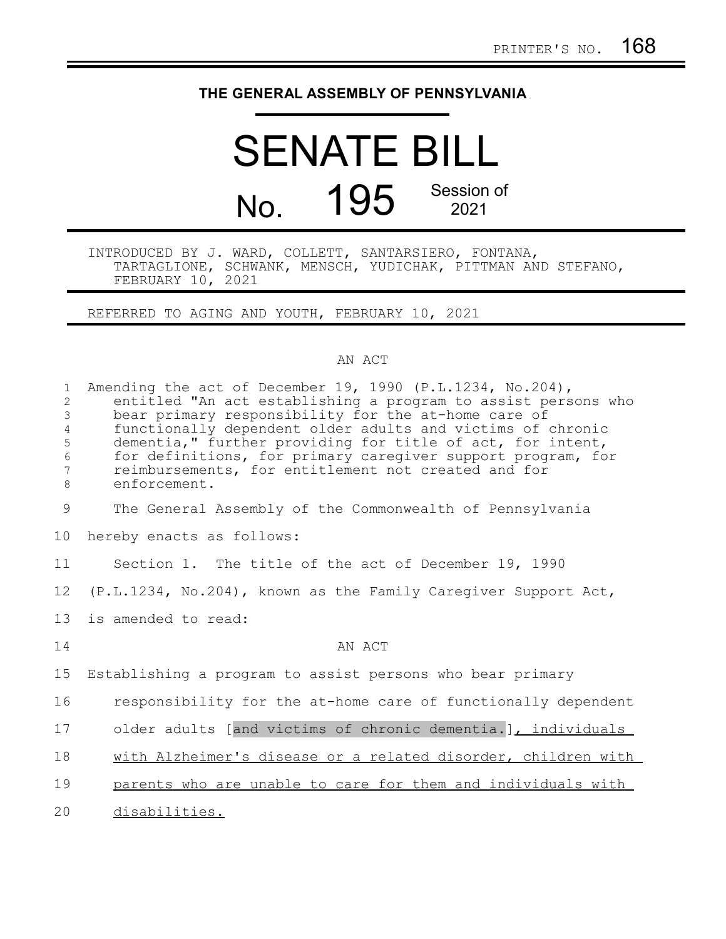## **THE GENERAL ASSEMBLY OF PENNSYLVANIA**

## SENATE BILL No. 195 Session of 2021

INTRODUCED BY J. WARD, COLLETT, SANTARSIERO, FONTANA, TARTAGLIONE, SCHWANK, MENSCH, YUDICHAK, PITTMAN AND STEFANO, FEBRUARY 10, 2021

REFERRED TO AGING AND YOUTH, FEBRUARY 10, 2021

## AN ACT

| $\mathbf{1}$<br>2<br>3<br>4<br>5<br>$\epsilon$<br>7<br>8 | Amending the act of December 19, 1990 (P.L.1234, No.204),<br>entitled "An act establishing a program to assist persons who<br>bear primary responsibility for the at-home care of<br>functionally dependent older adults and victims of chronic<br>dementia," further providing for title of act, for intent,<br>for definitions, for primary caregiver support program, for<br>reimbursements, for entitlement not created and for<br>enforcement. |
|----------------------------------------------------------|-----------------------------------------------------------------------------------------------------------------------------------------------------------------------------------------------------------------------------------------------------------------------------------------------------------------------------------------------------------------------------------------------------------------------------------------------------|
| 9                                                        | The General Assembly of the Commonwealth of Pennsylvania                                                                                                                                                                                                                                                                                                                                                                                            |
| 10                                                       | hereby enacts as follows:                                                                                                                                                                                                                                                                                                                                                                                                                           |
| 11                                                       | Section 1. The title of the act of December 19, 1990                                                                                                                                                                                                                                                                                                                                                                                                |
| 12                                                       | (P.L.1234, No.204), known as the Family Caregiver Support Act,                                                                                                                                                                                                                                                                                                                                                                                      |
| 13                                                       | is amended to read:                                                                                                                                                                                                                                                                                                                                                                                                                                 |
| 14                                                       | AN ACT                                                                                                                                                                                                                                                                                                                                                                                                                                              |
| 15                                                       | Establishing a program to assist persons who bear primary                                                                                                                                                                                                                                                                                                                                                                                           |
| 16                                                       | responsibility for the at-home care of functionally dependent                                                                                                                                                                                                                                                                                                                                                                                       |
| 17                                                       | older adults [and victims of chronic dementia.], individuals                                                                                                                                                                                                                                                                                                                                                                                        |
| 18                                                       | with Alzheimer's disease or a related disorder, children with                                                                                                                                                                                                                                                                                                                                                                                       |
| 19                                                       | parents who are unable to care for them and individuals with                                                                                                                                                                                                                                                                                                                                                                                        |
| 20                                                       | disabilities.                                                                                                                                                                                                                                                                                                                                                                                                                                       |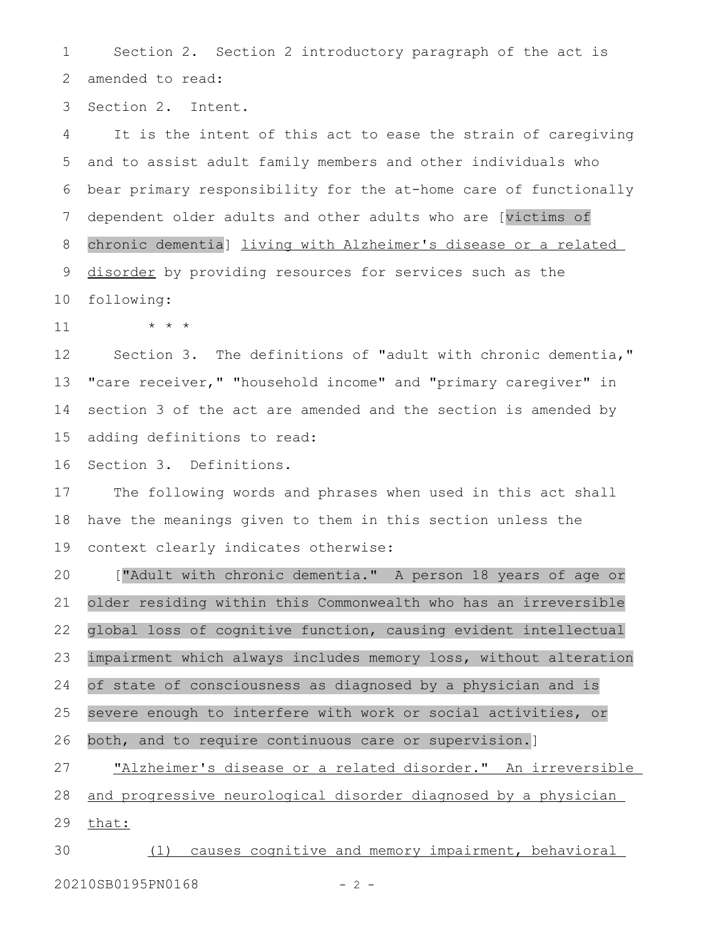Section 2. Section 2 introductory paragraph of the act is amended to read: 1 2

Section 2. Intent. 3

It is the intent of this act to ease the strain of caregiving and to assist adult family members and other individuals who bear primary responsibility for the at-home care of functionally dependent older adults and other adults who are [victims of chronic dementia] living with Alzheimer's disease or a related disorder by providing resources for services such as the following: 4 5 6 7 8 9 10

\* \* \* 11

Section 3. The definitions of "adult with chronic dementia," "care receiver," "household income" and "primary caregiver" in section 3 of the act are amended and the section is amended by adding definitions to read: 12 13 14 15

Section 3. Definitions. 16

The following words and phrases when used in this act shall have the meanings given to them in this section unless the context clearly indicates otherwise: 17 18 19

["Adult with chronic dementia." A person 18 years of age or older residing within this Commonwealth who has an irreversible global loss of cognitive function, causing evident intellectual impairment which always includes memory loss, without alteration of state of consciousness as diagnosed by a physician and is severe enough to interfere with work or social activities, or both, and to require continuous care or supervision.] "Alzheimer's disease or a related disorder." An irreversible and progressive neurological disorder diagnosed by a physician 20 21 22 23 24 25 26 27 28

that: 29

(1) causes cognitive and memory impairment, behavioral 20210SB0195PN0168 - 2 -30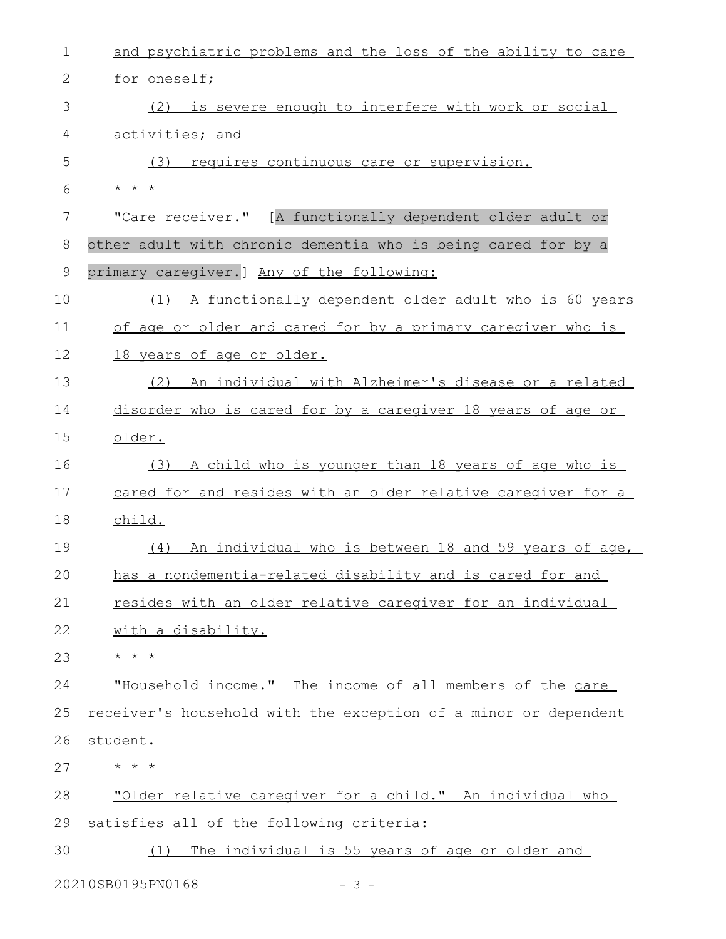| $\mathbf 1$ | and psychiatric problems and the loss of the ability to care    |
|-------------|-----------------------------------------------------------------|
| 2           | for oneself;                                                    |
| 3           | (2) is severe enough to interfere with work or social           |
| 4           | activities; and                                                 |
| 5           | requires continuous care or supervision.<br>(3)                 |
| 6           | $\star$ $\star$ $\star$                                         |
| 7           | "Care receiver." [A functionally dependent older adult or       |
| 8           | other adult with chronic dementia who is being cared for by a   |
| $\mathsf 9$ | primary caregiver.] Any of the following:                       |
| 10          | A functionally dependent older adult who is 60 years<br>(1)     |
| 11          | of age or older and cared for by a primary caregiver who is     |
| 12          | 18 years of age or older.                                       |
| 13          | An individual with Alzheimer's disease or a related<br>(2)      |
| 14          | disorder who is cared for by a caregiver 18 years of age or     |
| 15          | older.                                                          |
| 16          | (3) A child who is younger than 18 years of age who is          |
| 17          | cared for and resides with an older relative caregiver for a    |
| 18          | child.                                                          |
| 19          | An individual who is between 18 and 59 years of age,<br>(4)     |
| 20          | has a nondementia-related disability and is cared for and       |
| 21          | resides with an older relative caregiver for an individual      |
| 22          | with a disability.                                              |
| 23          | * * *                                                           |
| 24          | "Household income." The income of all members of the care       |
| 25          | receiver's household with the exception of a minor or dependent |
| 26          | student.                                                        |
| 27          | $\star$ $\star$ $\star$                                         |
| 28          | "Older relative caregiver for a child." An individual who       |
| 29          | satisfies all of the following criteria:                        |
| 30          | The individual is 55 years of age or older and<br>(1)           |
|             | 20210SB0195PN0168<br>$-3 -$                                     |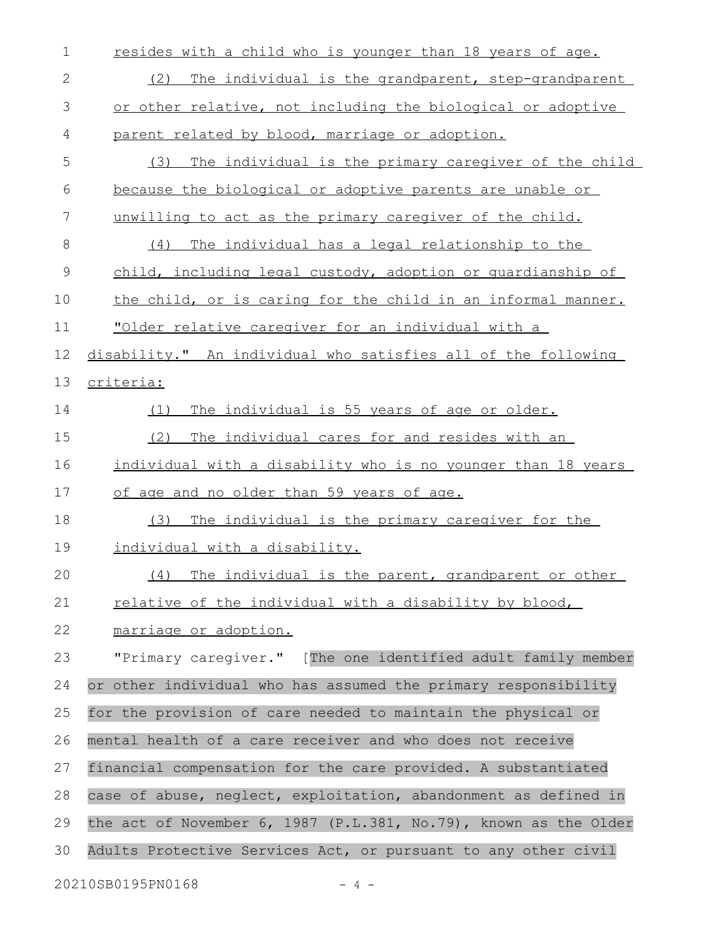| 1  | resides with a child who is younger than 18 years of age.        |
|----|------------------------------------------------------------------|
| 2  | The individual is the grandparent, step-grandparent<br>(2)       |
| 3  | or other relative, not including the biological or adoptive      |
| 4  | parent related by blood, marriage or adoption.                   |
| 5  | The individual is the primary caregiver of the child<br>(3)      |
| 6  | because the biological or adoptive parents are unable or         |
| 7  | unwilling to act as the primary caregiver of the child.          |
| 8  | (4) The individual has a legal relationship to the               |
| 9  | child, including legal custody, adoption or quardianship of      |
| 10 | the child, or is caring for the child in an informal manner.     |
| 11 | "Older relative caregiver for an individual with a               |
| 12 | disability." An individual who satisfies all of the following    |
| 13 | criteria:                                                        |
| 14 | The individual is 55 years of age or older.<br>(1)               |
| 15 | (2)<br>The individual cares for and resides with an              |
| 16 | individual with a disability who is no younger than 18 years     |
| 17 | of age and no older than 59 years of age.                        |
| 18 | The individual is the primary caregiver for the<br>(3)           |
| 19 | individual with a disability.                                    |
| 20 | (4) The individual is the parent, grandparent or other           |
| 21 | <u>relative of the individual with a disability by blood,</u>    |
| 22 | marriage or adoption.                                            |
| 23 | "Primary caregiver." [The one identified adult family member     |
| 24 | or other individual who has assumed the primary responsibility   |
| 25 | for the provision of care needed to maintain the physical or     |
| 26 | mental health of a care receiver and who does not receive        |
| 27 | financial compensation for the care provided. A substantiated    |
| 28 | case of abuse, neglect, exploitation, abandonment as defined in  |
| 29 | the act of November 6, 1987 (P.L.381, No.79), known as the Older |
| 30 | Adults Protective Services Act, or pursuant to any other civil   |
|    | 20210SB0195PN0168<br>$-4-$                                       |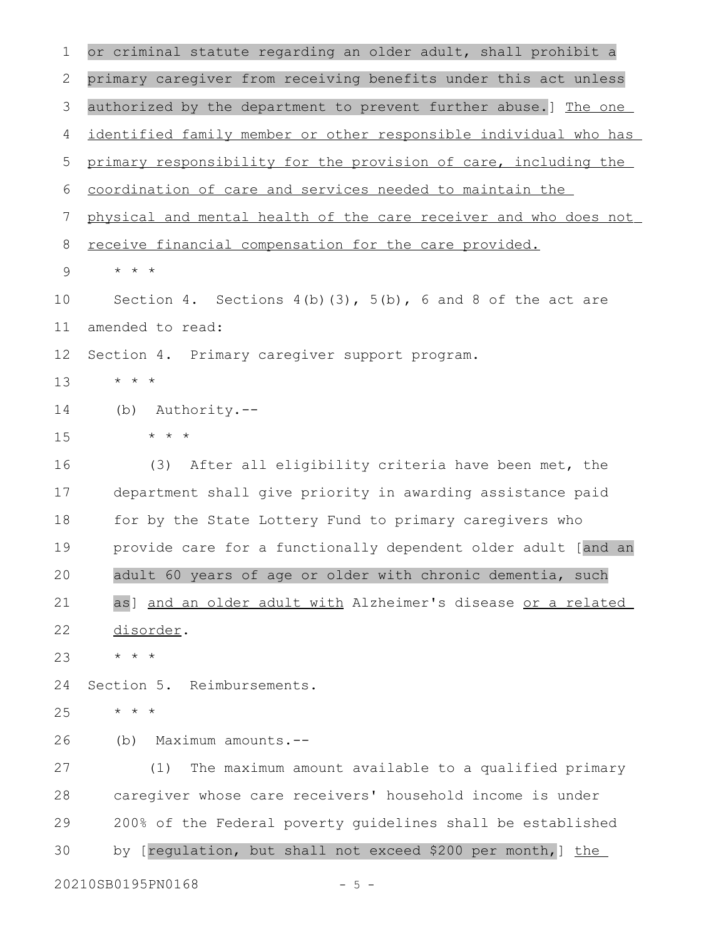or criminal statute regarding an older adult, shall prohibit a primary caregiver from receiving benefits under this act unless authorized by the department to prevent further abuse.] The one identified family member or other responsible individual who has primary responsibility for the provision of care, including the coordination of care and services needed to maintain the physical and mental health of the care receiver and who does not receive financial compensation for the care provided. \* \* \* Section 4. Sections  $4(b)(3)$ ,  $5(b)$ ,  $6$  and  $8$  of the act are amended to read: Section 4. Primary caregiver support program. \* \* \* (b) Authority.-- \* \* \* (3) After all eligibility criteria have been met, the department shall give priority in awarding assistance paid for by the State Lottery Fund to primary caregivers who provide care for a functionally dependent older adult [and an adult 60 years of age or older with chronic dementia, such as] and an older adult with Alzheimer's disease or a related disorder. \* \* \* Section 5. Reimbursements. \* \* \* (b) Maximum amounts.-- (1) The maximum amount available to a qualified primary caregiver whose care receivers' household income is under 200% of the Federal poverty guidelines shall be established by [regulation, but shall not exceed \$200 per month, ] the 20210SB0195PN0168 - 5 -1 2 3 4 5 6 7 8 9 10 11 12 13 14 15 16 17 18 19 20 21 22 23 24 25 26 27 28 29 30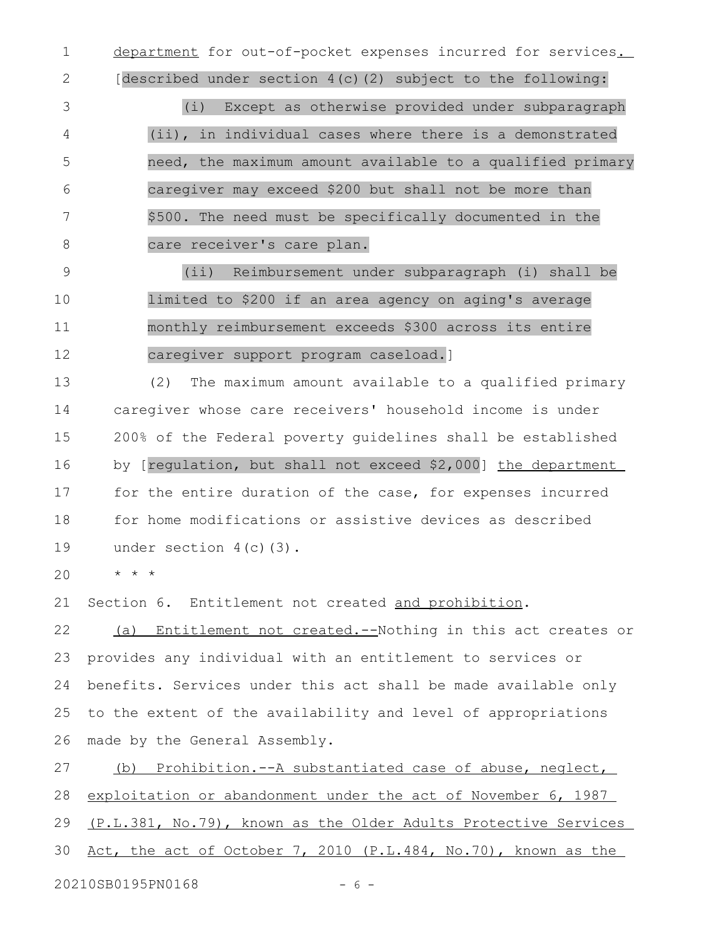department for out-of-pocket expenses incurred for services. 1

[described under section 4(c)(2) subject to the following:

(i) Except as otherwise provided under subparagraph (ii), in individual cases where there is a demonstrated need, the maximum amount available to a qualified primary caregiver may exceed \$200 but shall not be more than \$500. The need must be specifically documented in the care receiver's care plan. 3 4 5 6 7 8

(ii) Reimbursement under subparagraph (i) shall be limited to \$200 if an area agency on aging's average monthly reimbursement exceeds \$300 across its entire caregiver support program caseload.] 9 10 11 12

(2) The maximum amount available to a qualified primary caregiver whose care receivers' household income is under 200% of the Federal poverty guidelines shall be established by [regulation, but shall not exceed \$2,000] the department for the entire duration of the case, for expenses incurred for home modifications or assistive devices as described under section 4(c)(3). 13 14 15 16 17 18 19

\* \* \* 20

2

Section 6. Entitlement not created and prohibition. 21

(a) Entitlement not created.--Nothing in this act creates or provides any individual with an entitlement to services or benefits. Services under this act shall be made available only to the extent of the availability and level of appropriations made by the General Assembly. 22 23 24 25 26

(b) Prohibition.--A substantiated case of abuse, neglect, exploitation or abandonment under the act of November 6, 1987 (P.L.381, No.79), known as the Older Adults Protective Services Act, the act of October 7, 2010 (P.L.484, No.70), known as the 20210SB0195PN0168 - 6 -27 28 29 30